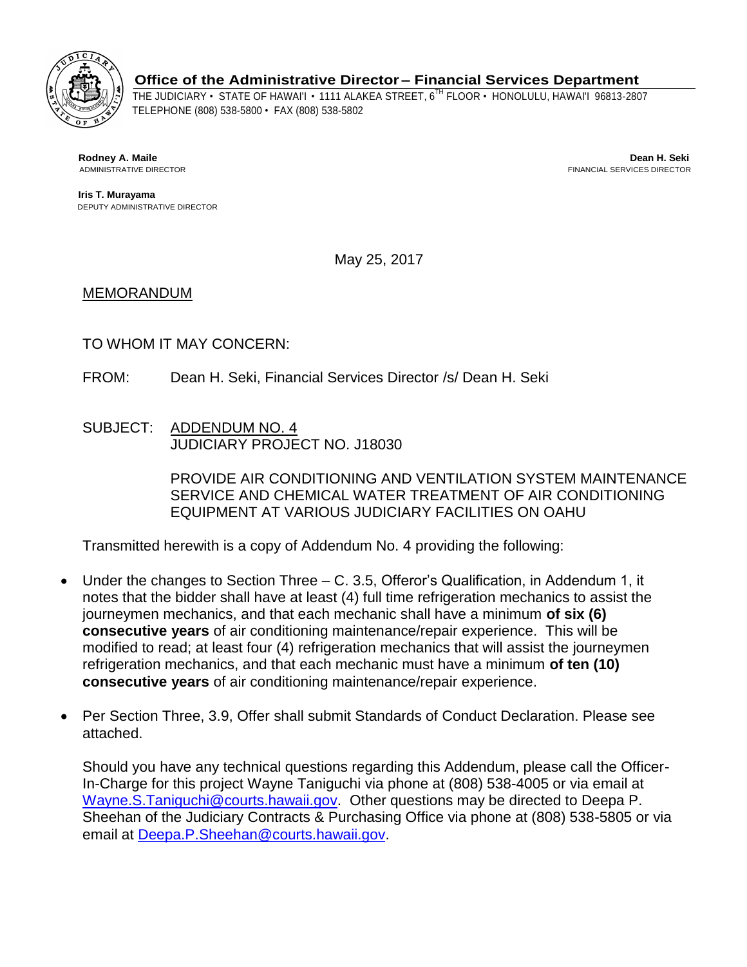

**Office of the Administrative Director – Financial Services Department**

THE JUDICIARY • STATE OF HAWAI'I • 1111 ALAKEA STREET, 6TH FLOOR • HONOLULU, HAWAI'I 96813-2807 TELEPHONE (808) 538-5800 • FAX (808) 538-5802

**ADMINISTRATIVE DIRECTOR** 

 **Rodney A. Maile Dean H. Seki**

 **Iris T. Murayama** DEPUTY ADMINISTRATIVE DIRECTOR

May 25, 2017

MEMORANDUM

TO WHOM IT MAY CONCERN:

- FROM: Dean H. Seki, Financial Services Director /s/ Dean H. Seki
- SUBJECT: ADDENDUM NO. 4 JUDICIARY PROJECT NO. J18030

PROVIDE AIR CONDITIONING AND VENTILATION SYSTEM MAINTENANCE SERVICE AND CHEMICAL WATER TREATMENT OF AIR CONDITIONING EQUIPMENT AT VARIOUS JUDICIARY FACILITIES ON OAHU

Transmitted herewith is a copy of Addendum No. 4 providing the following:

- Under the changes to Section Three C. 3.5, Offeror's Qualification, in Addendum 1, it notes that the bidder shall have at least (4) full time refrigeration mechanics to assist the journeymen mechanics, and that each mechanic shall have a minimum **of six (6) consecutive years** of air conditioning maintenance/repair experience. This will be modified to read; at least four (4) refrigeration mechanics that will assist the journeymen refrigeration mechanics, and that each mechanic must have a minimum **of ten (10) consecutive years** of air conditioning maintenance/repair experience.
- Per Section Three, 3.9, Offer shall submit Standards of Conduct Declaration. Please see attached.

Should you have any technical questions regarding this Addendum, please call the Officer-In-Charge for this project Wayne Taniguchi via phone at (808) 538-4005 or via email at [Wayne.S.Taniguchi@courts.hawaii.gov.](mailto:Wayne.S.Taniguchi@courts.hawaii.gov) Other questions may be directed to Deepa P. Sheehan of the Judiciary Contracts & Purchasing Office via phone at (808) 538-5805 or via email at [Deepa.P.Sheehan@courts.hawaii.gov.](mailto:Deepa.P.Sheehan@courts.hawaii.gov)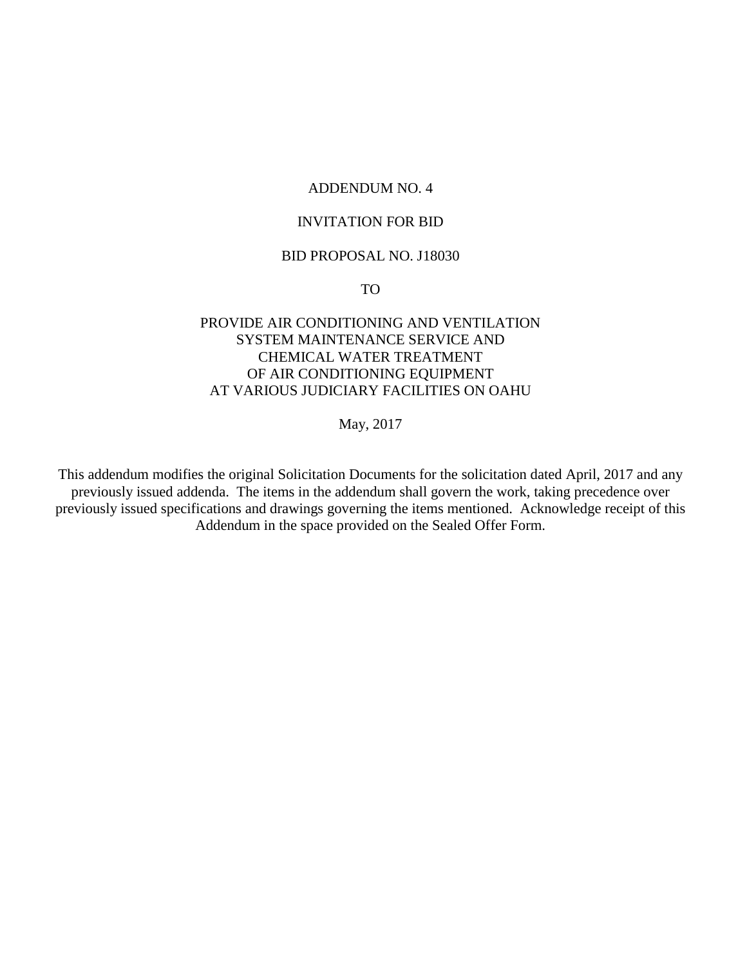### ADDENDUM NO. 4

### INVITATION FOR BID

### BID PROPOSAL NO. J18030

TO

## PROVIDE AIR CONDITIONING AND VENTILATION SYSTEM MAINTENANCE SERVICE AND CHEMICAL WATER TREATMENT OF AIR CONDITIONING EQUIPMENT AT VARIOUS JUDICIARY FACILITIES ON OAHU

May, 2017

This addendum modifies the original Solicitation Documents for the solicitation dated April, 2017 and any previously issued addenda. The items in the addendum shall govern the work, taking precedence over previously issued specifications and drawings governing the items mentioned. Acknowledge receipt of this Addendum in the space provided on the Sealed Offer Form.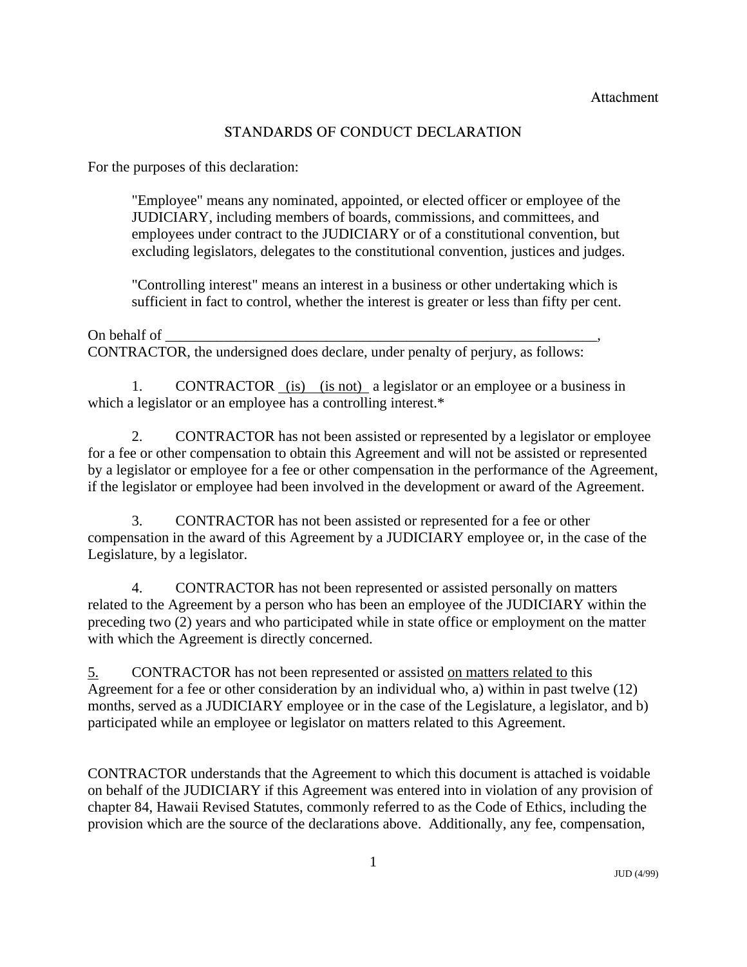# STANDARDS OF CONDUCT DECLARATION

For the purposes of this declaration:

"Employee" means any nominated, appointed, or elected officer or employee of the JUDICIARY, including members of boards, commissions, and committees, and employees under contract to the JUDICIARY or of a constitutional convention, but excluding legislators, delegates to the constitutional convention, justices and judges.

"Controlling interest" means an interest in a business or other undertaking which is sufficient in fact to control, whether the interest is greater or less than fifty per cent.

On behalf of CONTRACTOR, the undersigned does declare, under penalty of perjury, as follows:

1. CONTRACTOR (is) (is not) a legislator or an employee or a business in which a legislator or an employee has a controlling interest.\*

 2. CONTRACTOR has not been assisted or represented by a legislator or employee for a fee or other compensation to obtain this Agreement and will not be assisted or represented by a legislator or employee for a fee or other compensation in the performance of the Agreement, if the legislator or employee had been involved in the development or award of the Agreement.

 3. CONTRACTOR has not been assisted or represented for a fee or other compensation in the award of this Agreement by a JUDICIARY employee or, in the case of the Legislature, by a legislator.

 4. CONTRACTOR has not been represented or assisted personally on matters related to the Agreement by a person who has been an employee of the JUDICIARY within the preceding two (2) years and who participated while in state office or employment on the matter with which the Agreement is directly concerned.

5. CONTRACTOR has not been represented or assisted on matters related to this Agreement for a fee or other consideration by an individual who, a) within in past twelve (12) months, served as a JUDICIARY employee or in the case of the Legislature, a legislator, and b) participated while an employee or legislator on matters related to this Agreement.

CONTRACTOR understands that the Agreement to which this document is attached is voidable on behalf of the JUDICIARY if this Agreement was entered into in violation of any provision of chapter 84, Hawaii Revised Statutes, commonly referred to as the Code of Ethics, including the provision which are the source of the declarations above. Additionally, any fee, compensation,